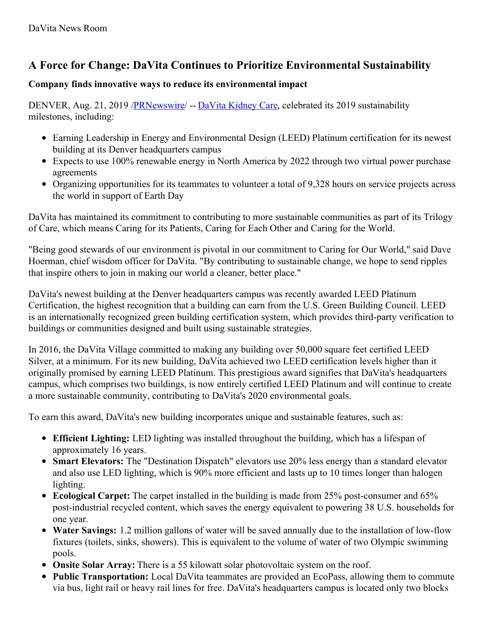## **A Force for Change: DaVita Continues to Prioritize Environmental Sustainability**

## **Company finds innovative ways to reduce its environmental impact**

DENVER, Aug. 21, 2019 [/PRNewswire](http://www.prnewswire.com/)/ -- DaVita [Kidney](https://c212.net/c/link/?t=0&l=en&o=2557372-1&h=2999220543&u=http%3A%2F%2Fwww.davita.com%2F&a=DaVita+Kidney+Care) Care, celebrated its 2019 sustainability milestones, including:

- Earning Leadership in Energy and Environmental Design (LEED) Platinum certification for its newest building at its Denver headquarters campus
- Expects to use 100% renewable energy in North America by 2022 through two virtual power purchase agreements
- Organizing opportunities for its teammates to volunteer a total of 9,328 hours on service projects across the world in support of Earth Day

DaVita has maintained its commitment to contributing to more sustainable communities as part of its Trilogy of Care, which means Caring for its Patients, Caring for Each Other and Caring for the World.

"Being good stewards of our environment is pivotal in our commitment to Caring for Our World," said Dave Hoerman, chief wisdom officer for DaVita. "By contributing to sustainable change, we hope to send ripples that inspire others to join in making our world a cleaner, better place."

DaVita's newest building at the Denver headquarters campus was recently awarded LEED Platinum Certification, the highest recognition that a building can earn from the U.S. Green Building Council. LEED is an internationally recognized green building certification system, which provides third-party verification to buildings or communities designed and built using sustainable strategies.

In 2016, the DaVita Village committed to making any building over 50,000 square feet certified LEED Silver, at a minimum. For its new building, DaVita achieved two LEED certification levels higher than it originally promised by earning LEED Platinum. This prestigious award signifies that DaVita's headquarters campus, which comprises two buildings, is now entirely certified LEED Platinum and will continue to create a more sustainable community, contributing to DaVita's 2020 environmental goals.

To earn this award, DaVita's new building incorporates unique and sustainable features, such as:

- **Efficient Lighting:** LED lighting was installed throughout the building, which has a lifespan of approximately 16 years.
- **Smart Elevators:** The "Destination Dispatch" elevators use 20% less energy than a standard elevator and also use LED lighting, which is 90% more efficient and lasts up to 10 times longer than halogen lighting.
- **Ecological Carpet:** The carpet installed in the building is made from 25% post-consumer and 65% post-industrial recycled content, which saves the energy equivalent to powering 38 U.S. households for one year.
- **Water Savings:** 1.2 million gallons of water will be saved annually due to the installation of low-flow fixtures (toilets, sinks, showers). This is equivalent to the volume of water of two Olympic swimming pools.
- **Onsite Solar Array:** There is a 55 kilowatt solar photovoltaic system on the roof.
- **Public Transportation:** Local DaVita teammates are provided an EcoPass, allowing them to commute via bus, light rail or heavy rail lines for free. DaVita's headquarters campus is located only two blocks